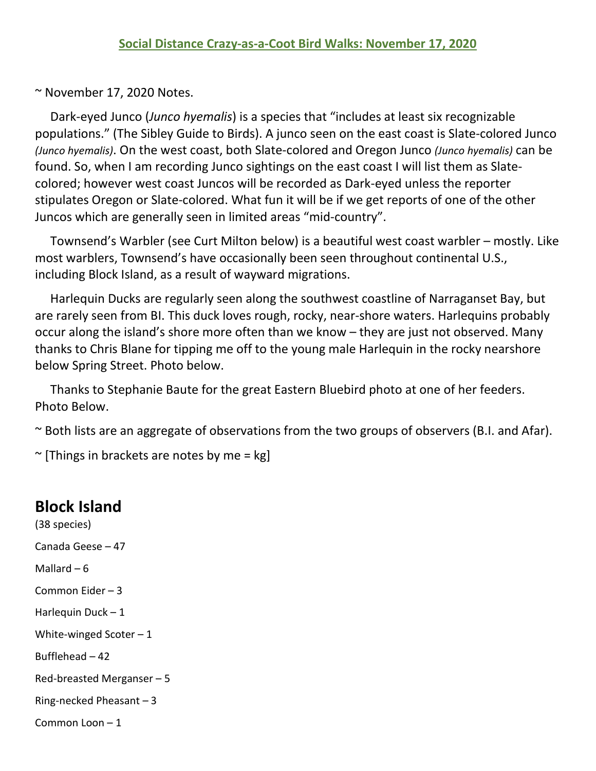~ November 17, 2020 Notes.

 Dark-eyed Junco (*Junco hyemalis*) is a species that "includes at least six recognizable populations." (The Sibley Guide to Birds). A junco seen on the east coast is Slate-colored Junco *(Junco hyemalis)*. On the west coast, both Slate-colored and Oregon Junco *(Junco hyemalis)* can be found. So, when I am recording Junco sightings on the east coast I will list them as Slatecolored; however west coast Juncos will be recorded as Dark-eyed unless the reporter stipulates Oregon or Slate-colored. What fun it will be if we get reports of one of the other Juncos which are generally seen in limited areas "mid-country".

 Townsend's Warbler (see Curt Milton below) is a beautiful west coast warbler – mostly. Like most warblers, Townsend's have occasionally been seen throughout continental U.S., including Block Island, as a result of wayward migrations.

 Harlequin Ducks are regularly seen along the southwest coastline of Narraganset Bay, but are rarely seen from BI. This duck loves rough, rocky, near-shore waters. Harlequins probably occur along the island's shore more often than we know – they are just not observed. Many thanks to Chris Blane for tipping me off to the young male Harlequin in the rocky nearshore below Spring Street. Photo below.

 Thanks to Stephanie Baute for the great Eastern Bluebird photo at one of her feeders. Photo Below.

~ Both lists are an aggregate of observations from the two groups of observers (B.I. and Afar).

 $\sim$  [Things in brackets are notes by me = kg]

## **Block Island**

(38 species) Canada Geese – 47 Mallard – 6 Common Eider – 3 Harlequin Duck – 1 White-winged Scoter  $-1$ Bufflehead – 42 Red-breasted Merganser – 5 Ring-necked Pheasant – 3 Common Loon – 1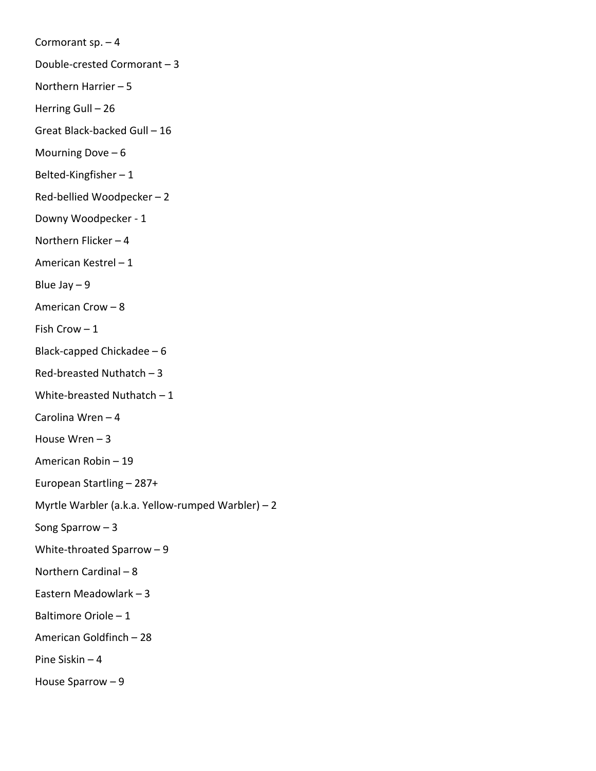Cormorant sp. – 4 Double-crested Cormorant – 3 Northern Harrier – 5 Herring Gull – 26 Great Black-backed Gull – 16 Mourning Dove  $-6$ Belted-Kingfisher – 1 Red-bellied Woodpecker – 2 Downy Woodpecker - 1 Northern Flicker – 4 American Kestrel – 1 Blue Jay  $-9$ American Crow – 8 Fish Crow – 1 Black-capped Chickadee – 6 Red-breasted Nuthatch – 3 White-breasted Nuthatch – 1 Carolina Wren – 4 House Wren  $-3$ American Robin – 19 European Startling – 287+ Myrtle Warbler (a.k.a. Yellow-rumped Warbler) – 2 Song Sparrow – 3 White-throated Sparrow – 9 Northern Cardinal – 8 Eastern Meadowlark – 3 Baltimore Oriole – 1 American Goldfinch – 28 Pine Siskin – 4 House Sparrow – 9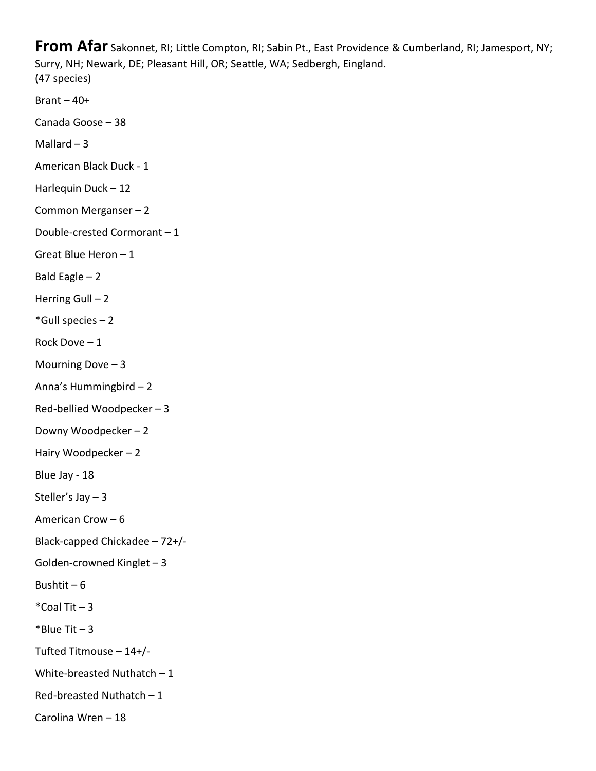**From Afar** Sakonnet, RI; Little Compton, RI; Sabin Pt., East Providence & Cumberland, RI; Jamesport, NY; Surry, NH; Newark, DE; Pleasant Hill, OR; Seattle, WA; Sedbergh, Eingland. (47 species)

Brant  $-40+$ Canada Goose – 38 Mallard  $-3$ American Black Duck - 1 Harlequin Duck – 12 Common Merganser – 2 Double-crested Cormorant – 1 Great Blue Heron – 1 Bald Eagle  $-2$ Herring Gull  $-2$ \*Gull species – 2 Rock Dove – 1 Mourning Dove  $-3$ Anna's Hummingbird – 2 Red-bellied Woodpecker – 3 Downy Woodpecker – 2 Hairy Woodpecker – 2 Blue Jay - 18 Steller's Jay – 3 American Crow – 6 Black-capped Chickadee – 72+/- Golden-crowned Kinglet – 3 Bushtit –  $6$ \*Coal Tit  $-3$  $*$ Blue Tit  $-3$ Tufted Titmouse – 14+/- White-breasted Nuthatch – 1 Red-breasted Nuthatch – 1 Carolina Wren – 18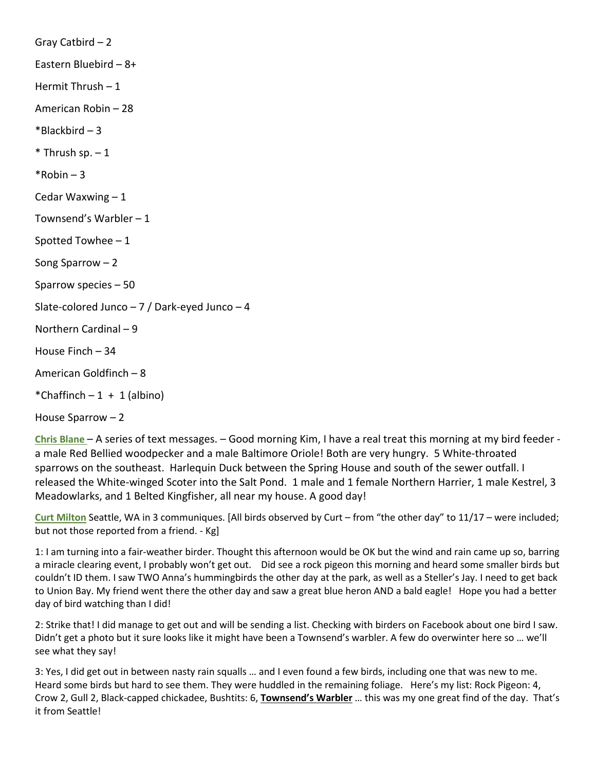House Sparrow – 2

**Chris Blane** – A series of text messages. – Good morning Kim, I have a real treat this morning at my bird feeder a male Red Bellied woodpecker and a male Baltimore Oriole! Both are very hungry. 5 White-throated sparrows on the southeast. Harlequin Duck between the Spring House and south of the sewer outfall. I released the White-winged Scoter into the Salt Pond. 1 male and 1 female Northern Harrier, 1 male Kestrel, 3 Meadowlarks, and 1 Belted Kingfisher, all near my house. A good day!

**Curt Milton** Seattle, WA in 3 communiques. [All birds observed by Curt – from "the other day" to 11/17 – were included; but not those reported from a friend. - Kg]

1: I am turning into a fair-weather birder. Thought this afternoon would be OK but the wind and rain came up so, barring a miracle clearing event, I probably won't get out. Did see a rock pigeon this morning and heard some smaller birds but couldn't ID them. I saw TWO Anna's hummingbirds the other day at the park, as well as a Steller's Jay. I need to get back to Union Bay. My friend went there the other day and saw a great blue heron AND a bald eagle! Hope you had a better day of bird watching than I did!

2: Strike that! I did manage to get out and will be sending a list. Checking with birders on Facebook about one bird I saw. Didn't get a photo but it sure looks like it might have been a Townsend's warbler. A few do overwinter here so … we'll see what they say!

3: Yes, I did get out in between nasty rain squalls … and I even found a few birds, including one that was new to me. Heard some birds but hard to see them. They were huddled in the remaining foliage. Here's my list: Rock Pigeon: 4, Crow 2, Gull 2, Black-capped chickadee, Bushtits: 6, **Townsend's Warbler** … this was my one great find of the day. That's it from Seattle!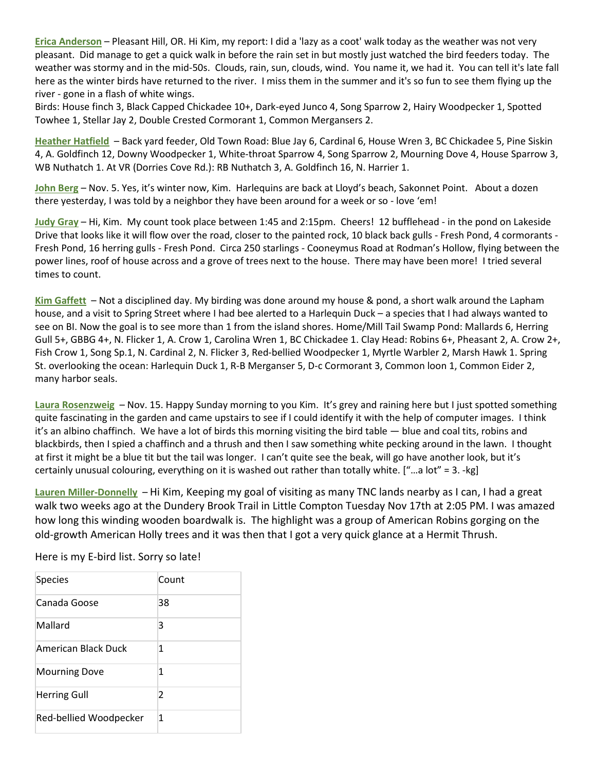**Erica Anderson** – Pleasant Hill, OR. Hi Kim, my report: I did a 'lazy as a coot' walk today as the weather was not very pleasant. Did manage to get a quick walk in before the rain set in but mostly just watched the bird feeders today. The weather was stormy and in the mid-50s. Clouds, rain, sun, clouds, wind. You name it, we had it. You can tell it's late fall here as the winter birds have returned to the river. I miss them in the summer and it's so fun to see them flying up the river - gone in a flash of white wings.

Birds: House finch 3, Black Capped Chickadee 10+, Dark-eyed Junco 4, Song Sparrow 2, Hairy Woodpecker 1, Spotted Towhee 1, Stellar Jay 2, Double Crested Cormorant 1, Common Mergansers 2.

**Heather Hatfield** – Back yard feeder, Old Town Road: Blue Jay 6, Cardinal 6, House Wren 3, BC Chickadee 5, Pine Siskin 4, A. Goldfinch 12, Downy Woodpecker 1, White-throat Sparrow 4, Song Sparrow 2, Mourning Dove 4, House Sparrow 3, WB Nuthatch 1. At VR (Dorries Cove Rd.): RB Nuthatch 3, A. Goldfinch 16, N. Harrier 1.

**John Berg** – Nov. 5. Yes, it's winter now, Kim. Harlequins are back at Lloyd's beach, Sakonnet Point. About a dozen there yesterday, I was told by a neighbor they have been around for a week or so - love 'em!

**Judy Gray** – Hi, Kim. My count took place between 1:45 and 2:15pm. Cheers! 12 bufflehead - in the pond on Lakeside Drive that looks like it will flow over the road, closer to the painted rock, 10 black back gulls - Fresh Pond, 4 cormorants - Fresh Pond, 16 herring gulls - Fresh Pond. Circa 250 starlings - Cooneymus Road at Rodman's Hollow, flying between the power lines, roof of house across and a grove of trees next to the house. There may have been more! I tried several times to count.

**Kim Gaffett** – Not a disciplined day. My birding was done around my house & pond, a short walk around the Lapham house, and a visit to Spring Street where I had bee alerted to a Harlequin Duck – a species that I had always wanted to see on BI. Now the goal is to see more than 1 from the island shores. Home/Mill Tail Swamp Pond: Mallards 6, Herring Gull 5+, GBBG 4+, N. Flicker 1, A. Crow 1, Carolina Wren 1, BC Chickadee 1. Clay Head: Robins 6+, Pheasant 2, A. Crow 2+, Fish Crow 1, Song Sp.1, N. Cardinal 2, N. Flicker 3, Red-bellied Woodpecker 1, Myrtle Warbler 2, Marsh Hawk 1. Spring St. overlooking the ocean: Harlequin Duck 1, R-B Merganser 5, D-c Cormorant 3, Common loon 1, Common Eider 2, many harbor seals.

**Laura Rosenzweig** – Nov. 15. Happy Sunday morning to you Kim. It's grey and raining here but I just spotted something quite fascinating in the garden and came upstairs to see if I could identify it with the help of computer images. I think it's an albino chaffinch. We have a lot of birds this morning visiting the bird table — blue and coal tits, robins and blackbirds, then I spied a chaffinch and a thrush and then I saw something white pecking around in the lawn. I thought at first it might be a blue tit but the tail was longer. I can't quite see the beak, will go have another look, but it's certainly unusual colouring, everything on it is washed out rather than totally white. ["…a lot" = 3. -kg]

**Lauren Miller-Donnelly** – Hi Kim, Keeping my goal of visiting as many TNC lands nearby as I can, I had a great walk two weeks ago at the Dundery Brook Trail in Little Compton Tuesday Nov 17th at 2:05 PM. I was amazed how long this winding wooden boardwalk is. The highlight was a group of American Robins gorging on the old-growth American Holly trees and it was then that I got a very quick glance at a Hermit Thrush.

| <b>Species</b>         | Count |
|------------------------|-------|
| Canada Goose           | 38    |
| Mallard                | 3     |
| American Black Duck    | 1     |
| <b>Mourning Dove</b>   | 1     |
| <b>Herring Gull</b>    | 2     |
| Red-bellied Woodpecker | 1     |

Here is my E-bird list. Sorry so late!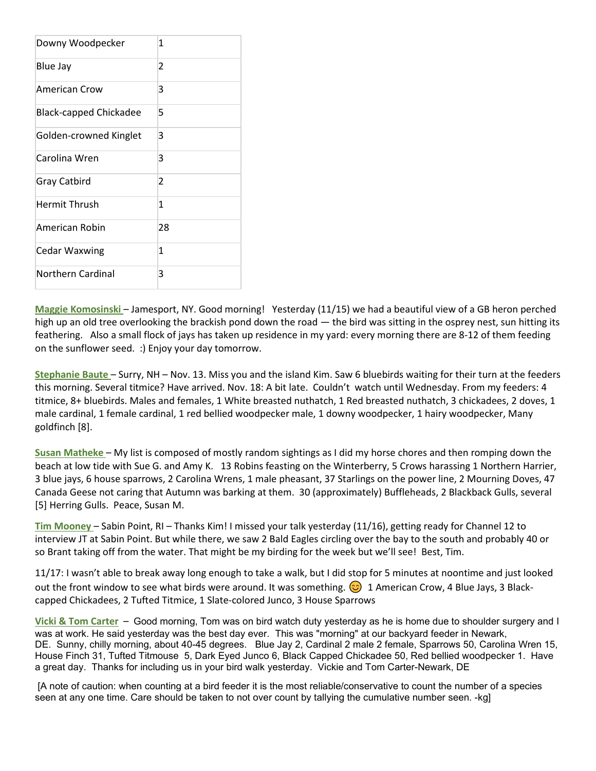| Downy Woodpecker              | 1            |
|-------------------------------|--------------|
| <b>Blue Jay</b>               | 2            |
| American Crow                 | 3            |
| <b>Black-capped Chickadee</b> | 5            |
| Golden-crowned Kinglet        | 3            |
| Carolina Wren                 | 3            |
| Gray Catbird                  | 2            |
| <b>Hermit Thrush</b>          | $\mathbf{1}$ |
| American Robin                | 28           |
| Cedar Waxwing                 | 1            |
| <b>Northern Cardinal</b>      | 3            |

**Maggie Komosinski** – Jamesport, NY. Good morning! Yesterday (11/15) we had a beautiful view of a GB heron perched high up an old tree overlooking the brackish pond down the road  $-$  the bird was sitting in the osprey nest, sun hitting its feathering. Also a small flock of jays has taken up residence in my yard: every morning there are 8-12 of them feeding on the sunflower seed. :) Enjoy your day tomorrow.

**Stephanie Baute** – Surry, NH – Nov. 13. Miss you and the island Kim. Saw 6 bluebirds waiting for their turn at the feeders this morning. Several titmice? Have arrived. Nov. 18: A bit late. Couldn't watch until Wednesday. From my feeders: 4 titmice, 8+ bluebirds. Males and females, 1 White breasted nuthatch, 1 Red breasted nuthatch, 3 chickadees, 2 doves, 1 male cardinal, 1 female cardinal, 1 red bellied woodpecker male, 1 downy woodpecker, 1 hairy woodpecker, Many goldfinch [8].

**Susan Matheke** – My list is composed of mostly random sightings as I did my horse chores and then romping down the beach at low tide with Sue G. and Amy K. 13 Robins feasting on the Winterberry, 5 Crows harassing 1 Northern Harrier, 3 blue jays, 6 house sparrows, 2 Carolina Wrens, 1 male pheasant, 37 Starlings on the power line, 2 Mourning Doves, 47 Canada Geese not caring that Autumn was barking at them. 30 (approximately) Buffleheads, 2 Blackback Gulls, several [5] Herring Gulls. Peace, Susan M.

**Tim Mooney** – Sabin Point, RI – Thanks Kim! I missed your talk yesterday (11/16), getting ready for Channel 12 to interview JT at Sabin Point. But while there, we saw 2 Bald Eagles circling over the bay to the south and probably 40 or so Brant taking off from the water. That might be my birding for the week but we'll see! Best, Tim.

11/17: I wasn't able to break away long enough to take a walk, but I did stop for 5 minutes at noontime and just looked out the front window to see what birds were around. It was something.  $\circled{c}$  1 American Crow, 4 Blue Jays, 3 Blackcapped Chickadees, 2 Tufted Titmice, 1 Slate-colored Junco, 3 House Sparrows

**Vicki & Tom Carter** – Good morning, Tom was on bird watch duty yesterday as he is home due to shoulder surgery and I was at work. He said yesterday was the best day ever. This was "morning" at our backyard feeder in Newark, DE. Sunny, chilly morning, about 40-45 degrees. Blue Jay 2, Cardinal 2 male 2 female, Sparrows 50, Carolina Wren 15, House Finch 31, Tufted Titmouse 5, Dark Eyed Junco 6, Black Capped Chickadee 50, Red bellied woodpecker 1. Have a great day. Thanks for including us in your bird walk yesterday. Vickie and Tom Carter-Newark, DE

[A note of caution: when counting at a bird feeder it is the most reliable/conservative to count the number of a species seen at any one time. Care should be taken to not over count by tallying the cumulative number seen. -kg]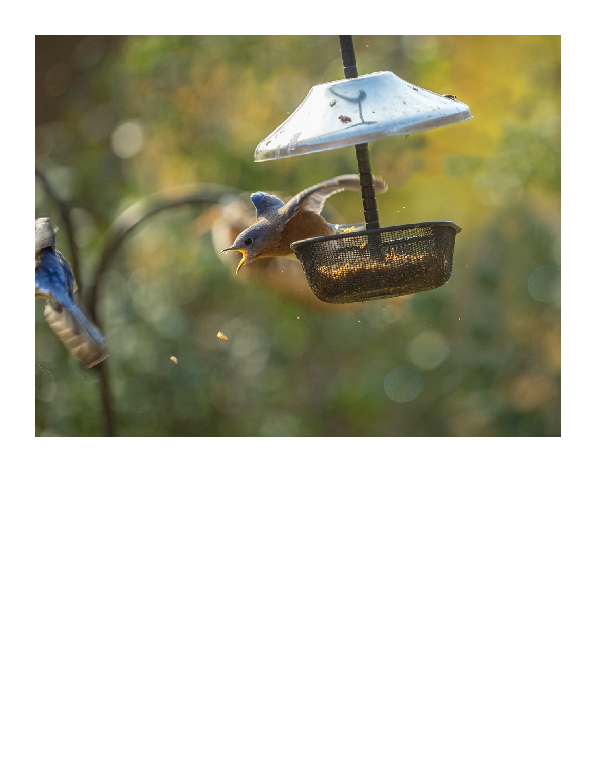